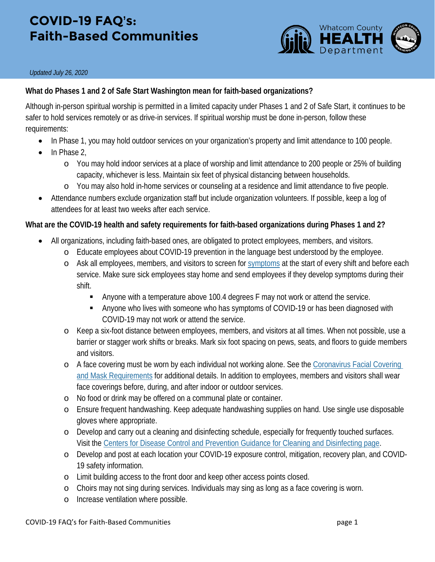# **COVID-19 FAQ's: Faith-Based Communities**



#### *Updated July 26, 2020*

#### **What do Phases 1 and 2 of Safe Start Washington mean for faith-based organizations?**

Although in-person spiritual worship is permitted in a limited capacity under Phases 1 and 2 of Safe Start, it continues to be safer to hold services remotely or as drive-in services. If spiritual worship must be done in-person, follow these requirements:

- In Phase 1, you may hold outdoor services on your organization's property and limit attendance to 100 people.
- In Phase 2,
	- o You may hold indoor services at a place of worship and limit attendance to 200 people or 25% of building capacity, whichever is less. Maintain six feet of physical distancing between households.
	- o You may also hold in-home services or counseling at a residence and limit attendance to five people.
- Attendance numbers exclude organization staff but include organization volunteers. If possible, keep a log of attendees for at least two weeks after each service.

#### **What are the COVID-19 health and safety requirements for faith-based organizations during Phases 1 and 2?**

- All organizations, including faith-based ones, are obligated to protect employees, members, and visitors.
	- o Educate employees about COVID-19 prevention in the language best understood by the employee.
	- o Ask all employees, members, and visitors to screen for [symptoms](https://www.whatcomcounty.us/3375/FAQs#symptoms) at the start of every shift and before each service. Make sure sick employees stay home and send employees if they develop symptoms during their shift.
		- Anyone with a temperature above 100.4 degrees F may not work or attend the service.
		- Anyone who lives with someone who has symptoms of COVID-19 or has been diagnosed with COVID-19 may not work or attend the service.
	- o Keep a six-foot distance between employees, members, and visitors at all times. When not possible, use a barrier or stagger work shifts or breaks. Mark six foot spacing on pews, seats, and floors to guide members and visitors.
	- o A face covering must be worn by each individual not working alone. See th[e Coronavirus Facial Covering](https://www.lni.wa.gov/agency/_docs/wacoronavirushazardconsiderationsemployers.pdf)  [and Mask Requirements](https://www.lni.wa.gov/agency/_docs/wacoronavirushazardconsiderationsemployers.pdf) for additional details. In addition to employees, members and visitors shall wear face coverings before, during, and after indoor or outdoor services.
	- o No food or drink may be offered on a communal plate or container.
	- o Ensure frequent handwashing. Keep adequate handwashing supplies on hand. Use single use disposable gloves where appropriate.
	- o Develop and carry out a cleaning and disinfecting schedule, especially for frequently touched surfaces. Visit th[e Centers for Disease Control and Prevention Guidance for Cleaning and Disinfecting page.](https://www.cdc.gov/coronavirus/2019-ncov/community/cleaning-disinfecting-decision-tool.html)
	- o Develop and post at each location your COVID-19 exposure control, mitigation, recovery plan, and COVID-19 safety information.
	- o Limit building access to the front door and keep other access points closed.
	- o Choirs may not sing during services. Individuals may sing as long as a face covering is worn.
	- o Increase ventilation where possible.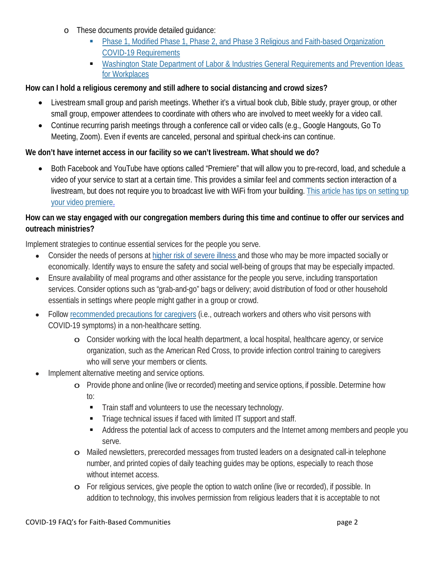- o These documents provide detailed guidance:
	- [Phase 1, Modified Phase 1, Phase 2, and Phase 3 Religious and Faith-based Organization](https://www.governor.wa.gov/sites/default/files/Phase%201-3%20-%20Religious%20and%20faith-based%20orgs%20FINAL_6%2018%202020.pdf)  [COVID-19 Requirements](https://www.governor.wa.gov/sites/default/files/Phase%201-3%20-%20Religious%20and%20faith-based%20orgs%20FINAL_6%2018%202020.pdf)
	- **Washington State Department of Labor & Industries General Requirements and Prevention Ideas** [for Workplaces](https://lni.wa.gov/forms-publications/F414-164-000.pdf)

## **How can I hold a religious ceremony and still adhere to social distancing and crowd sizes?**

- Livestream small group and parish meetings. Whether it's a virtual book club, Bible study, prayer group, or other small group, empower attendees to coordinate with others who are involved to meet weekly for a video call.
- Continue recurring parish meetings through a conference call or video calls (e.g., Google Hangouts, Go To Meeting, Zoom). Even if events are canceled, personal and spiritual check-ins can continue.

### **We don't have internet access in our facility so we can't livestream. What should we do?**

• Both Facebook and YouTube have options called "Premiere" that will allow you to pre-record, load, and schedule a video of your service to start at a certain time. This provides a similar feel and comments section interaction of a livestream, but does not require you to broadcast live with WiFi from your building. This article has tips on setting up [your video premiere.](https://www.socialmediaexaminer.com/how-to-use-facebook-premiere-what-marketers-need-know/)

# **How can we stay engaged with our congregation members during this time and continue to offer our services and outreach ministries?**

Implement strategies to continue essential services for the people you serve.

- Consider the needs of persons at higher risk of [severe illness](https://www.cdc.gov/coronavirus/2019-ncov/need-extra-precautions/people-at-higher-risk.html?CDC_AA_refVal=https%3A%2F%2Fwww.cdc.gov%2Fcoronavirus%2F2019-ncov%2Fspecific-groups%2Fhigh-risk-complications.html) and those who may be more impacted socially or economically. Identify ways to ensure the safety and social well-being of groups that may be especially impacted.
- Ensure availability of meal programs and other assistance for the people you serve, including transportation services. Consider options such as "grab-and-go" bags or delivery; avoid distribution of food or other household essentials in settings where people might gather in a group or crowd.
- Follow [recommended](https://www.cdc.gov/coronavirus/2019-ncov/if-you-are-sick/index.html?CDC_AA_refVal=https%3A%2F%2Fwww.cdc.gov%2Fcoronavirus%2F2019-ncov%2Fhcp%2Fguidance-prevent-spread.html) precautions for caregivers (i.e., outreach workers and others who visit persons with COVID-19 symptoms) in a non-healthcare setting.
	- o Consider working with the local health department, a local hospital, healthcare agency, or service organization, such as the American Red Cross, to provide infection control training to caregivers who will serve your members or clients.
- Implement alternative meeting and service options.
	- o Provide phone and online (live or recorded) meeting and service options, if possible. Determine how to:
		- Train staff and volunteers to use the necessary technology.
		- Triage technical issues if faced with limited IT support and staff.
		- Address the potential lack of access to computers and the Internet among members and people you serve.
	- o Mailed newsletters, prerecorded messages from trusted leaders on a designated call-in telephone number, and printed copies of daily teaching guides may be options, especially to reach those without internet access.
	- $\circ$  For religious services, give people the option to watch online (live or recorded), if possible. In addition to technology, this involves permission from religious leaders that it is acceptable to not